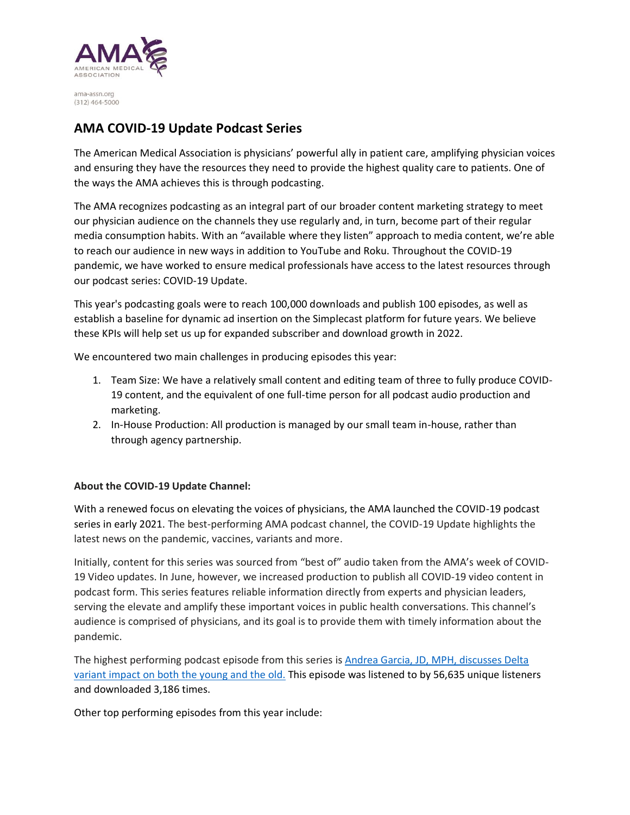

ama-assn.org  $(312)$  464-5000

## **AMA COVID-19 Update Podcast Series**

The American Medical Association is physicians' powerful ally in patient care, amplifying physician voices and ensuring they have the resources they need to provide the highest quality care to patients. One of the ways the AMA achieves this is through podcasting.

The AMA recognizes podcasting as an integral part of our broader content marketing strategy to meet our physician audience on the channels they use regularly and, in turn, become part of their regular media consumption habits. With an "available where they listen" approach to media content, we're able to reach our audience in new ways in addition to YouTube and Roku. Throughout the COVID-19 pandemic, we have worked to ensure medical professionals have access to the latest resources through our podcast series: COVID-19 Update.

This year's podcasting goals were to reach 100,000 downloads and publish 100 episodes, as well as establish a baseline for dynamic ad insertion on the Simplecast platform for future years. We believe these KPIs will help set us up for expanded subscriber and download growth in 2022.

We encountered two main challenges in producing episodes this year:

- 1. Team Size: We have a relatively small content and editing team of three to fully produce COVID-19 content, and the equivalent of one full-time person for all podcast audio production and marketing.
- 2. In-House Production: All production is managed by our small team in-house, rather than through agency partnership.

## **About the COVID-19 Update Channel:**

With a renewed focus on elevating the voices of physicians, the AMA launched the COVID-19 podcast series in early 2021. The best-performing AMA podcast channel, the COVID-19 Update highlights the latest news on the pandemic, vaccines, variants and more.

Initially, content for this series was sourced from "best of" audio taken from the AMA's week of COVID-19 Video updates. In June, however, we increased production to publish all COVID-19 video content in podcast form. This series features reliable information directly from experts and physician leaders, serving the elevate and amplify these important voices in public health conversations. This channel's audience is comprised of physicians, and its goal is to provide them with timely information about the pandemic.

The highest performing podcast episode from this series is [Andrea Garcia, JD, MPH, discusses Delta](https://podcasts.apple.com/us/podcast/andrea-garcia-jd-mph-discusses-delta-variant-impact/id1545028267?i=1000531693658)  [variant impact on both the young and the old.](https://podcasts.apple.com/us/podcast/andrea-garcia-jd-mph-discusses-delta-variant-impact/id1545028267?i=1000531693658) This episode was listened to by 56,635 unique listeners and downloaded 3,186 times.

Other top performing episodes from this year include: